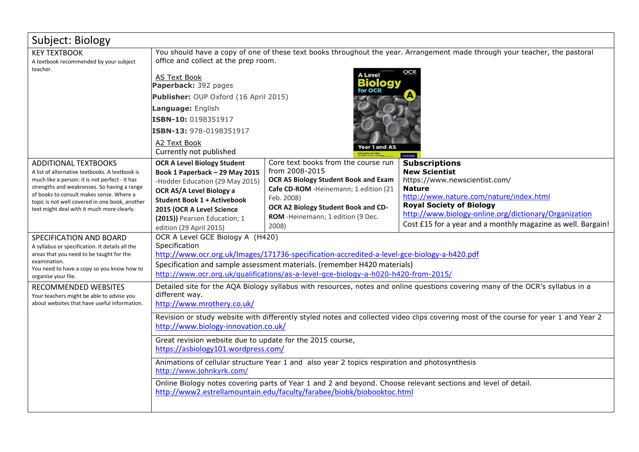| Subject: Biology                                                                                                                                                                                                                                                                                                           |                                                                                                                                                                                                                                                                                                                    |                                                                                                                                                                                                                                                    |                                                                                                                                                                                                                                                                                                       |  |
|----------------------------------------------------------------------------------------------------------------------------------------------------------------------------------------------------------------------------------------------------------------------------------------------------------------------------|--------------------------------------------------------------------------------------------------------------------------------------------------------------------------------------------------------------------------------------------------------------------------------------------------------------------|----------------------------------------------------------------------------------------------------------------------------------------------------------------------------------------------------------------------------------------------------|-------------------------------------------------------------------------------------------------------------------------------------------------------------------------------------------------------------------------------------------------------------------------------------------------------|--|
| <b>KEY TEXTBOOK</b><br>A textbook recommended by your subject                                                                                                                                                                                                                                                              | You should have a copy of one of these text books throughout the year. Arrangement made through your teacher, the pastoral<br>office and collect at the prep room.                                                                                                                                                 |                                                                                                                                                                                                                                                    |                                                                                                                                                                                                                                                                                                       |  |
| teacher.                                                                                                                                                                                                                                                                                                                   | <b>A Level</b><br><b>AS Text Book</b><br>Paperback: 392 pages<br>Publisher: OUP Oxford (16 April 2015)<br>Language: English<br>ISBN-10: 0198351917<br>ISBN-13: 978-0198351917<br>A2 Text Book<br>ear 1 and AS<br>Currently not published<br><b>OXFORD</b>                                                          |                                                                                                                                                                                                                                                    |                                                                                                                                                                                                                                                                                                       |  |
| <b>ADDITIONAL TEXTBOOKS</b><br>A list of alternative textbooks. A textbook is<br>much like a person: it is not perfect - it has<br>strengths and weaknesses. So having a range<br>of books to consult makes sense. Where a<br>topic is not well covered in one book, another<br>text might deal with it much more clearly. | <b>OCR A Level Biology Student</b><br>Book 1 Paperback - 29 May 2015<br>-Hodder Education (29 May 2015)<br>OCR AS/A Level Biology a<br><b>Student Book 1 + Activebook</b><br>2015 (OCR A Level Science<br>(2015)) Pearson Education; 1<br>edition (29 April 2015)                                                  | Core text books from the course run<br>from 2008-2015<br><b>OCR AS Biology Student Book and Exam</b><br>Cafe CD-ROM - Heinemann; 1 edition (21<br>Feb. 2008)<br>OCR A2 Biology Student Book and CD-<br>ROM - Heinemann; 1 edition (9 Dec.<br>2008) | <b>Subscriptions</b><br><b>New Scientist</b><br>https://www.newscientist.com/<br><b>Nature</b><br>http://www.nature.com/nature/index.html<br><b>Royal Society of Biology</b><br>http://www.biology-online.org/dictionary/Organization<br>Cost £15 for a year and a monthly magazine as well. Bargain! |  |
| SPECIFICATION AND BOARD<br>A syllabus or specification. It details all the<br>areas that you need to be taught for the<br>examination.<br>You need to have a copy so you know how to<br>organise your file.                                                                                                                | OCR A Level GCE Biology A (H420)<br>Specification<br>http://www.ocr.org.uk/Images/171736-specification-accredited-a-level-gce-biology-a-h420.pdf<br>Specification and sample assessment materials. (remember H420 materials)<br>http://www.ocr.org.uk/qualifications/as-a-level-gce-biology-a-h020-h420-from-2015/ |                                                                                                                                                                                                                                                    |                                                                                                                                                                                                                                                                                                       |  |
| RECOMMENDED WEBSITES<br>Your teachers might be able to advise you<br>about websites that have useful information.                                                                                                                                                                                                          | Detailed site for the AQA Biology syllabus with resources, notes and online questions covering many of the OCR's syllabus in a<br>different way.<br>http://www.mrothery.co.uk/                                                                                                                                     |                                                                                                                                                                                                                                                    |                                                                                                                                                                                                                                                                                                       |  |
|                                                                                                                                                                                                                                                                                                                            | Revision or study website with differently styled notes and collected video clips covering most of the course for year 1 and Year 2<br>http://www.biology-innovation.co.uk/                                                                                                                                        |                                                                                                                                                                                                                                                    |                                                                                                                                                                                                                                                                                                       |  |
|                                                                                                                                                                                                                                                                                                                            | Great revision website due to update for the 2015 course,<br>https://asbiology101.wordpress.com/                                                                                                                                                                                                                   |                                                                                                                                                                                                                                                    |                                                                                                                                                                                                                                                                                                       |  |
|                                                                                                                                                                                                                                                                                                                            | Animations of cellular structure Year 1 and also year 2 topics respiration and photosynthesis<br>http://www.johnkyrk.com/                                                                                                                                                                                          |                                                                                                                                                                                                                                                    |                                                                                                                                                                                                                                                                                                       |  |
|                                                                                                                                                                                                                                                                                                                            | Online Biology notes covering parts of Year 1 and 2 and beyond. Choose relevant sections and level of detail.<br>http://www2.estrellamountain.edu/faculty/farabee/biobk/biobooktoc.html                                                                                                                            |                                                                                                                                                                                                                                                    |                                                                                                                                                                                                                                                                                                       |  |